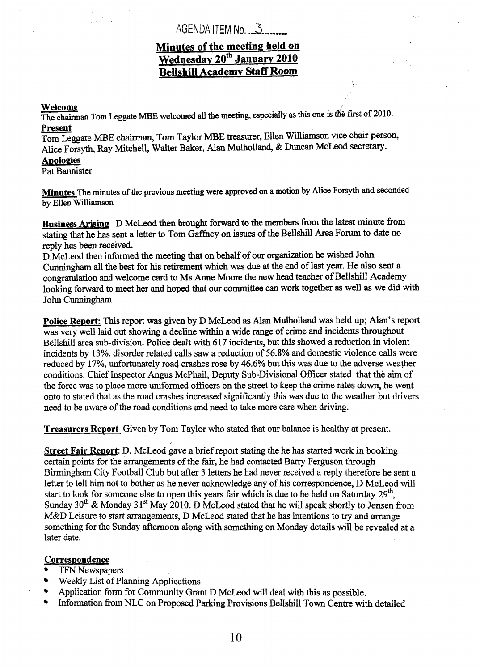## AGENDA ITEM No, *..3* --....-

## **Minutes of the meeting held on Wednesdav 20" January 2010 Bellshill Academy Staff Room**

#### **Welcome**

The chairman Tom Leggate MBE welcomed all the meeting, especially as this one is the first of 2010. **Present** 

Tom Leggate MBE chairman, Tom Taylor MBE treasurer, Ellen Williamson vice chair person, Alice Forsyth, Ray Mitchell, Walter Baker, Alan Mulholland, & Duncan McLeod secretary.

#### **Apologies**

Pat Bannister

**Minutes The** minutes **of** *the* previous meeting were approved on **a motion by** Mice Forsyth **and** seconded by Ellen Williamson

**Business Arisinq** D McLeod then brought forward to the **members hm** the latest minute from stating that he has sent a letter to Tom Gaffney on issues of the Bellshill Area Forum to date no reply **has** been received.

D.McLeod then informed the meeting that on behalf of our organization he wished John **Cunningham** all the best for his retirement which was due at the end of last year. **He** also sent a congratulation and welcome card to Ms Anne Moore the new head teacher of Bellshill Academy looking forward to meet her and hoped that our committee *can* work together **as** well **as** we did with John **Cunningham** 

**Police Report:** This report was given **by** D McLeod **as Alan** Mulholland was held up; **Man's** report **was** very well laid out **showing** a decline within a wide range of crime and incidents throughout Bellshill area sub-division. Police dealt with 617 incidents, but this showed a reduction in violent incidents by **13%,** disorder related calls saw a reduction of *56.8%* and domestic violence calls were reduced by 17%, unfortunately road crashes rose by **46.6%** but this was due to the adverse weather conditions. Chief Inspector *Angus* McPhail, Deputy Sub-Divisional Officer stated that **th;** aim of the force was to place more uniformed officers on the street to keep the crime rates down, he went onto to stated that as the road crashes increased significantly this was due to the weather but drivers need to be aware of the road conditions and need to take more care when driving.

**Treasurers Report** Given by Tom Taylor who stated that our balance is healthy at present.

**Street Fair Report:** D. McLeod gave a brief report stating the he **has** *started* **work in** booking certain points for the arrangements **of** the fair, he had contacted Banry Ferguson through Birmingham City Football Club but after **3** letters he had never received a reply therefore he sent a letter to tell him not to bother as he never acknowledge any of his correspondence, D McLeod will start to look for someone else to open this years fair which is due to be held on Saturday **29",**  Sunday 30<sup>th</sup> & Monday 31<sup>st</sup> May 2010. D McLeod stated that he will speak shortly to Jensen from M&D Leisure to start arrangements, D McLeod stated that he **has** intentions to **try** and arrange something for the Sunday afternoon along with something on Monday details will be revealed at a later date.

### **Correspondence**

- TFN Newspapers
- Weekly List of Planning Applications  $\bullet$
- Application form for Community Grant D McLeod will deal with this as possible.  $\bullet$
- Information from NLC on Proposed Parking Provisions Bellshill Town Centre with detailed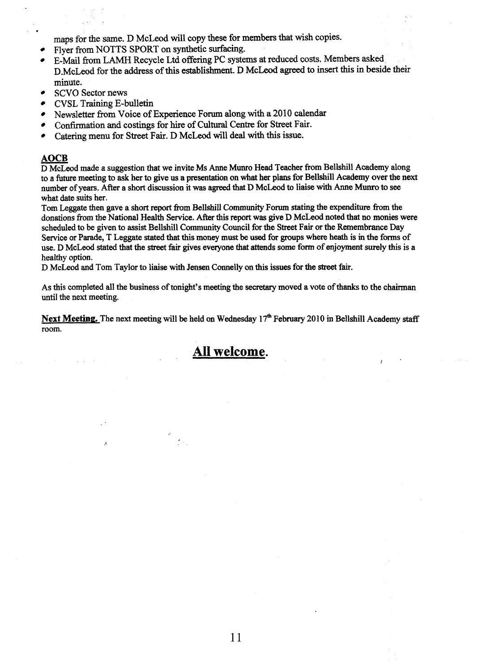maps for the same. D McLeod will copy these for **members** that wish copies.

- Flyer from **NOTTS** SPORT on synthetic **surfacing.**
- E-Mail **from** LAMH Recycle Ltd offering **PC** systems at reduced **costs.** Members asked D.McL,eod for the address **ofthis** establishment. **D** McLeud **agreed** to **insert** this **in** beside their minute.
- **SCVO** Sector news
- CVSL Training E-bulletin
- Newsletter from Voice of Experience Forum along with a 2010 calendar
- Confirmation **and** costings for hire of **Cultural** Centre for Street Fair.
- **Catering** menu for Street Fair. D McLeod will deal with **this** issue.

minute.<br>
SCVO Secto<br>
CVSL Traini<br>
Newsletter fi<br>
Confirmation<br>
Catering mer<br>
AOCB<br>
D McLeod made<br>
to a future meetin D McLeod **made a** suggestion that we invite **Ms** Anne MUNO Head Teacher from Bellshill Academy along to a **future** meeting to **ask** her to give us a presentation on what **her** plans for Bellshill Academy over the next number of years. After a short discussion it was agreed that D McLeod to liaise with Anne Munro to see what date suits her.

Tom Leggate then gave **a** short **report hm** Bellshill Community Forum **stating** the expenditure **from** the donations from the National Health Service. After this report was give D McLeod noted **that no** monies were scheduled to be given to assist Bellshill Community Council for the Street Fair or the Remembrance Day Service or Parade, T Leggate stated that this money **must** be used for pups where heath is in **the forms** of use. D McLeod stated that the street fair gives everyone that attends some form of enjoyment surely this is a healthy option.

D McLeod and Tom Taylor to liaise with Jensen Connelly on this issues for the *street* fair.

**As** this completed all the business of tonight's meeting the secretary moved **a** vote of thanks to the chairman until the next meeting.

**Next Meeting.** The next **meeting** will be held on Wednesday **17"h** February 2010 in Bellshill Academy **staff**  room.

# **All welcome.**

*I*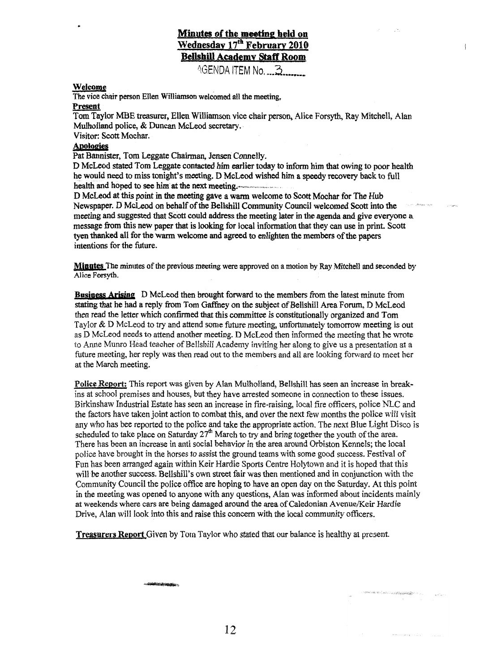2GENDA ITEM No *,,.3....,,,,* 

#### **Welcome**

**The vice chair person Ellen Willimon welcomed all** *the* **meeting, Example 18 AVE<br>
Example 18 AVE 18 AVE 18 AVENUE 18 AVENUE 18 AVENUE 18 AVENUE 18 AVENUE 18 AVENUE 18 AVENUE 18 AVENUE 18 AVENUE 18 AVENUE 18 AVENUE 18 AVENUE 18 AVENUE 18 AVENUE 18 AVENUE 18 AVENUE 18 AVENUE 18 AVENUE 18** 

#### **Present**

Tom Taylor MBE treasurer, Ellen Williamson vice chair person, Alice Forsyth, Ray Mitchell, Alan Mulholland police, & Duncan McLeod secretary.

Visitor: Scott Mochar.

#### **Awlueies**

Fat Bannister, Tom **Leggate** Chairman, **Jensen** Connelly.

D **McLeod stated** Tom **Leggate** contacted **him earlier today** *to* infm him that **owing** to poor **heatth he would need** to **miss** tonight's **meeting. D McLeod wished him a speedy recovery back** to full **health and hoped** *to see* **him at the next** meeting.

**D McLeod** *at* this **point in the meeting** gave **a warm** welcome to Scott Mochar for The **Hub Newspaper. D** McLeod on behalf of the **Bellshill Community Councii welcomed Scott mb the**  meeting **and suggested** that **Scott** could address the **meeting hter** in the **agenda** and give **everyone a message from this new paper that is looking for local information that they can use in print. Scott** tyen **thanked all for the warm welcome and agreed to** enlighten **the members** of the papers intentions for the future.

**Minutes The minutes** of **the** previous meeting were approved on a **motion by Ray Mitehell and seconded by Alice Forsyth.** 

**Business Arising D** McLeod then brought forward to the members **from the** latest **minute from stating** *that* **he had** *B* **reply** from **Tom Wey on the subject** of **Bellshill Area** Forum, D McLeod then read **the** letter **which** confirmed that this committee is constitutionally **organized** and **Tom**  Taylor & D McLeod to try and attend some future meeting, unfortunately tomorrow meeting is out as D McLeod needs to attend another meeting. D McLeod then informed the meeting that he wrote to Anne Mum0 Head teacher of BeIlshiIl Academy inviting her **ahg** to give us a presentation at a future meeting, her reply was then read out to the members and all are looking forward to meet her at the March meeting.

**Police Rewrt;** This **report was** given **by** Alan **Mulholland, Bellshill** has **seen an** increase in breakins at school premises and houses, but they have arrested someone in connection to these issues. Birkinshaw Industrial Estate has seen an increase in fire-raising, local fire officers, police NLC and the factors have taken joint action to combat this, and over the next few months the **police** will visit any who has bee reported to the police and take the appropriate action. The next Blue Light Disco is scheduled to take **place** on Saturday 27" March to try **and** bring together the youth of the area. There **has** been **an increase** in anti social behavior in the area wound Orbiston Kennels; the local police have brought in the horses to assist the ground teams with some good success. Festival of Fun has been arranged **again** within Keir Hardie Sports Centre Hotytown and it **is** hoped that this **will** be another success. Bellshill's **own** *street* fair **was** then mentioned and in conjunction with the Community Council the police office are hoping to have an open day on the Saturday. At this point in the meeting **was** opened to anyone with any questions, Alan **was** informed about incidents mainly at weekends where cars **are** being damaged **around the** area **of** Caledonian **AvenueKeir Hardie**  Drive, **Alan will** look into this and raise this **concern** with **the** local community officers.

**Treasurers Report** Given by Tom Taylor who stated that our balance is healthy at present.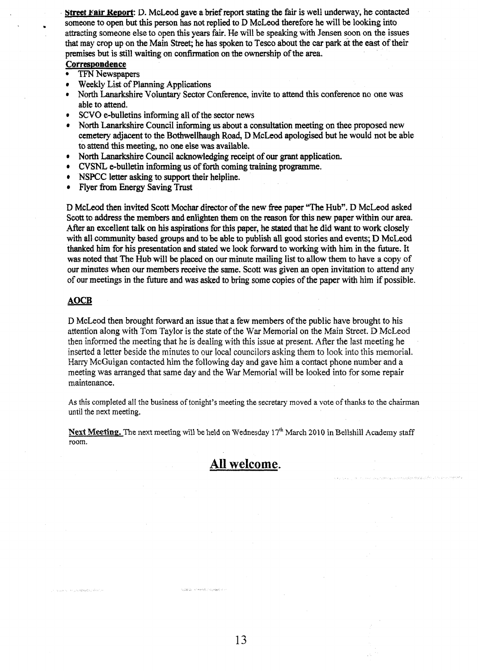**Street Fair Report:** D. McLeod gave a brief report stating the fair is well underway, he contacted someone to **open but this** person **has** not replied to D **McLeod** therefore he will be looking into attracting someone else to open this **years** fair. He **will** be speaking with Jensen **soon** on the issues **that** may crop up on the Main **Street;** he has spoken to Tesco about the *car* park at the east of their **premises but is still waiting on confirmation on the ownership of the area.** 

#### **Correspondence**

**t** 

- TFN Newspapers
- Weekly **List** of **Planning** Applications  $\bullet$
- North Lanarkshire Voluntary Sector Conference, invite to attend this conference no one was  $\bullet$ able to attend.
- **SCVO** e-bulletins informing all of the sector news  $\bullet$
- North Lanarkshire Council **informing us** about a consultation meeting on thee proposed new **cemetery** adjacent to the Bothwellhaugh Road, **D McLeod** apologised but he **would** not be **able**  to attend this meeting, no one else **was** available.
- North **harkshire** Council acknowledging receipt of our grant application.  $\bullet$
- **CVSNL,** e-bulletin infonning us of forth coming **training** programme.  $\bullet$
- **NSPCC** letter asking to support their helpline.
- Flyer **from** Energy Saving Trust  $\bullet$

D McLeod then invited Scott Mochar director of the new free paper "The Hub". D McLeod asked Scott to address the members and enlighten them on the reason for this new paper within our area. *After* **an** excellent talk **on his** aspirations for this paper, he stated that he did want to **work** closely with **all** community **based** groups and to be able to **publish all good** stories **and** events; **D MGLeod thanked him for his presentation and stated we look forward to working with him in the future. It was** noted that The Hub will be placed on our minute mailing list to allow them to have a copy of our minutes when our members receive the same. Scott was given **an** open invitation to attend any of our meetings in the future and **was** asked to bring some copies of the paper **with** him if possible.

#### **AOCE**

D McLeod then brought forward an issue that a few members of the public have brought to his attention along with Tom **Taylor** is the state of the **War** Memorial on **the** Main Street. E) McLeod then informed the meeting that he is dealing with this issue at present. After the last meeting he inserted a letter beside the minutes to our local councilors asking them to look into this memorial. Harry McGuigan contacted him the following day and **gave** him a contact phone number and a meeting was arranged that same day and the War Memorial will be looked into for some repair maintenance.

**As** this completed **all** the business of tonight's meeting the secretary moved a vote of thanks to the chairman until the next meeting.

**Next Meeting.** The next meeting Will be **held** on Wednesday 17"' March **201 0** in **Beilshill Academy** staff room.



character conserve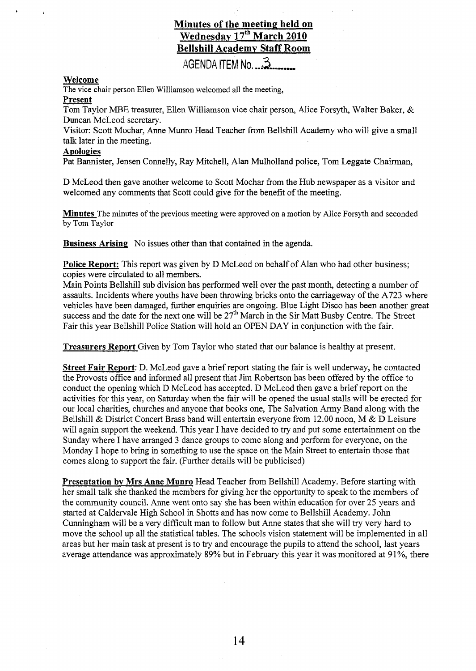## **Minutes of the meeting held on Wednesday 17'h March 2010 Bellshill Academy Staff Room**

AGENDA ITEM No. 3

#### **Welcome**

The vice chair person Ellen Williamson welcomed all the meeting,

#### **Present**

Tom Taylor MBE treasurer, Ellen Williamson vice chair person, Alice Forsyth, Walter Baker,  $\&$ Duncan McLeod secretary.

Visitor: Scott Mochar, Anne Munro Head Teacher from Bellshill Academy who will give a small talk later in the meeting.

#### **Apologies**

Pat Bannister, Jensen Connelly, Ray Mitchell, Alan Mulholland police, Tom Leggate Chairman,

D McLeod then gave another welcome to Scott Mochar from the Hub newspaper as a visitor and welcomed any comments that Scott could give for the benefit of the meeting.

**Minutes** The minutes of the previous meeting were approved on **a** motion by Alice Forsyth and seconded by Tom Taylor

**Business Arising** No issues other than that contained in the agenda.

**Police Report:** This report was given by D McLeod on behalf of Alan who had other business; copies were circulated to all members.

Main Points Bellshill sub division has performed well over the past month, detecting **a** number of assaults. Incidents where youths have been throwing bricks onto the carriageway of the A723 where vehicles have been damaged, further enquiries are ongoing. Blue Light Disco has been another great success and the date for the next one will be  $27<sup>th</sup>$  March in the Sir Matt Busby Centre. The Street Fair this year Bellshill Police Station will hold an OPEN DAY in conjunction with the fair.

**Treasurers Report** Given by Tom Taylor who stated that our balance is healthy at present.

**Street Fair Report:** D. McLeod gave a brief report stating the fair is well underway, he contacted the Provosts office and informed all present that Jim Robertson has been offered by the office to conduct the opening which D McLeod has accepted. D McLeod then gave a brief report on the activities for this year, on Saturday when the fair will be opened the usual stalls will be erected for our local charities, churches and anyone that books one, The Salvation Army Band along with the Bellshill & District Concert Brass band will entertain everyone from 12.00 noon, M & D Leisure will again support the weekend. This year **I** have decided to try and put some entertainment on the Sunday where I have arranged 3 dance groups to come along and perform for everyone, on the Monday I hope to bring in something to use the space on the Main Street to entertain those that comes along to support the fair. (Further details will be publicised)

**Presentation bv Mrs Anne Munro** Head Teacher from Bellshill Academy. Before starting with her small talk she thanked the members for giving her the opportunity to speak to the members of the community council. Anne went onto say she has been within education for over 25 years and started at Caldervale High School in Shotts and has now come to Bellshill Academy. John Cunningham will be a very difficult man to follow but Anne states that she will try very hard to move the school up all the statistical tables. The schools vision statement will be implemented in all areas but her main task at present is to try and encourage the pupils to attend the school, last years average attendance was approximately **89%** but in February this year it was monitored at 91 %, there